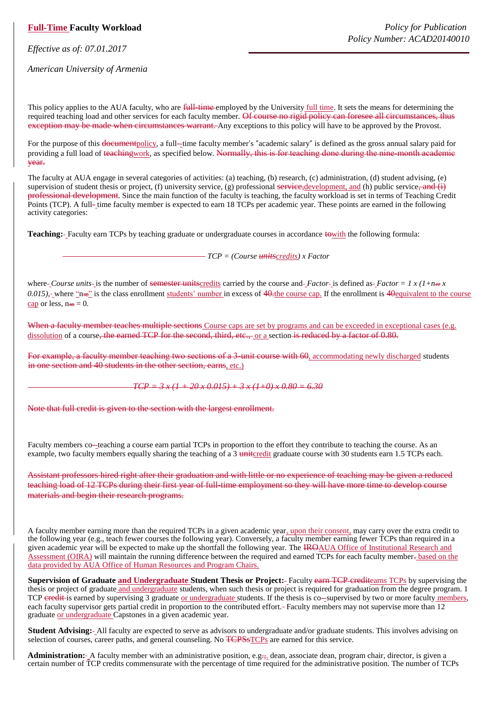## **Full-Time Faculty Workload**

*Effective as of: 07.01.2017*

*American University of Armenia*

This policy applies to the AUA faculty, who are full-time-employed by the University full time. It sets the means for determining the required teaching load and other services for each faculty member. Of course no rigid policy can foresee all circumstances, thus exception may be made when circumstances warrant. Any exceptions to this policy will have to be approved by the Provost.

For the purpose of this <del>document</del>policy, a full–time faculty member's "academic salary" is defined as the gross annual salary paid for providing a full load of teachingwork, as specified below. Normally, this is for teaching done during the nine–month academic year.

The faculty at AUA engage in several categories of activities: (a) teaching, (b) research, (c) administration, (d) student advising, (e) supervision of student thesis or project, (f) university service, (g) professional service, development, and (h) public service, and (i) professional development. Since the main function of the faculty is teaching, the faculty workload is set in terms of Teaching Credit Points (TCP). A full‐ time faculty member is expected to earn 18 TCPs per academic year. These points are earned in the following activity categories:

**Teaching:** Faculty earn TCPs by teaching graduate or undergraduate courses in accordance towith the following formula:

*TCP = (Course unitscredits) x Factor*

where *Course units* is the number of <del>semester unitscredits</del> carried by the course and *Factor* is defined as *Factor* = 1 x (1+n<sub>70</sub> x *0.015*), where "n<del>=</del>o" is the class enrollment students' number in excess of 40-the course cap. If the enrollment is 40equivalent to the course cap or less,  $n_{\text{+}} = 0$ .

When a faculty member teaches multiple sections Course caps are set by programs and can be exceeded in exceptional cases (e.g. dissolution of a course, the earned TCP for the second, third, etc., or a section is reduced by a factor of 0.80.

For example, a faculty member teaching two sections of a 3-unit course with 60, accommodating newly discharged students in one section and 40 students in the other section, earns, etc.)

 $TCP = 3x(1 + 20x0.015) + 3x(1+0)x0.80 = 6.30$ 

Note that full credit is given to the section with the largest enrollment.

Faculty members co--teaching a course earn partial TCPs in proportion to the effort they contribute to teaching the course. As an example, two faculty members equally sharing the teaching of a 3 united graduate course with 30 students earn 1.5 TCPs each.

Assistant professors hired right after their graduation and with little or no experience of teaching may be given a reduced teaching load of 12 TCPs during their first year of full-time employment so they will have more time to develop course materials and begin their research programs.

A faculty member earning more than the required TCPs in a given academic year, upon their consent, may carry over the extra credit to the following year (e.g., teach fewer courses the following year). Conversely, a faculty member earning fewer TCPs than required in a given academic year will be expected to make up the shortfall the following year. The IROAUA Office of Institutional Research and Assessment (OIRA) will maintain the running difference between the required and earned TCPs for each faculty member-based on the data provided by AUA Office of Human Resources and Program Chairs.

**Supervision of Graduate and Undergraduate Student Thesis or Project:** Faculty earn TCP creditearns TCPs by supervising the thesis or project of graduate and undergraduate students, when such thesis or project is required for graduation from the degree program. 1 TCP credit is earned by supervising 3 graduate or undergraduate students. If the thesis is co-supervised by two or more faculty members, each faculty supervisor gets partial credit in proportion to the contributed effort. Faculty members may not supervise more than 12 graduate or undergraduate Capstones in a given academic year.

**Student Advising:** All faculty are expected to serve as advisors to undergraduate and/or graduate students. This involves advising on selection of courses, career paths, and general counseling. No  $T<sub>CPS5TCPs</sub>$  are earned for this service.

**Administration:** - A faculty member with an administrative position, e.g., dean, associate dean, program chair, director, is given a certain number of TCP credits commensurate with the percentage of time required for the administrative position. The number of TCPs